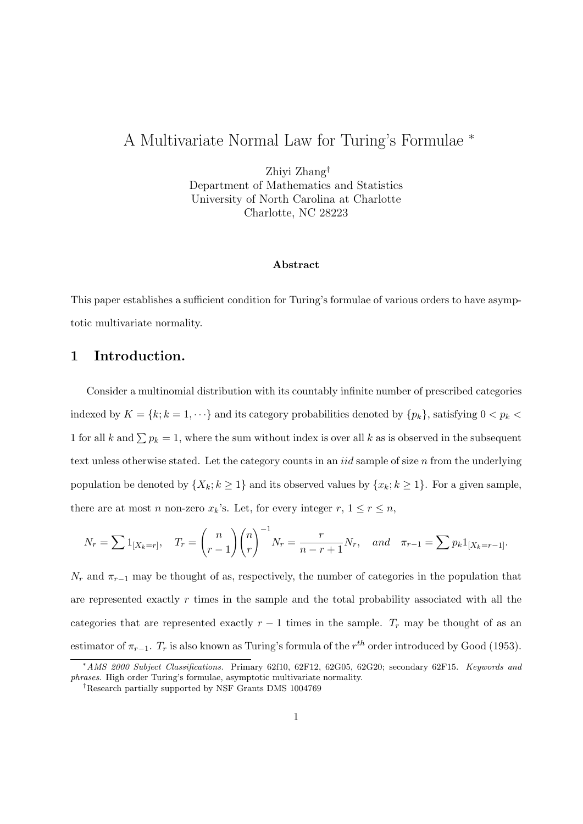# A Multivariate Normal Law for Turing's Formulae *<sup>∗</sup>*

Zhiyi Zhang*†* Department of Mathematics and Statistics University of North Carolina at Charlotte Charlotte, NC 28223

#### **Abstract**

This paper establishes a sufficient condition for Turing's formulae of various orders to have asymptotic multivariate normality.

## **1 Introduction.**

Consider a multinomial distribution with its countably infinite number of prescribed categories indexed by  $K = \{k; k = 1, \dots\}$  and its category probabilities denoted by  $\{p_k\}$ , satisfying  $0 < p_k$ 1 for all *k* and  $\sum p_k = 1$ , where the sum without index is over all *k* as is observed in the subsequent text unless otherwise stated. Let the category counts in an *iid* sample of size *n* from the underlying population be denoted by  $\{X_k; k \geq 1\}$  and its observed values by  $\{x_k; k \geq 1\}$ . For a given sample, there are at most *n* non-zero  $x_k$ 's. Let, for every integer  $r, 1 \le r \le n$ ,

$$
N_r = \sum 1_{[X_k=r]},
$$
  $T_r = {n \choose r-1} {n \choose r}^{-1} N_r = \frac{r}{n-r+1} N_r$ , and  $\pi_{r-1} = \sum p_k 1_{[X_k=r-1]}.$ 

 $N_r$  and  $\pi_{r-1}$  may be thought of as, respectively, the number of categories in the population that are represented exactly *r* times in the sample and the total probability associated with all the categories that are represented exactly  $r-1$  times in the sample.  $T_r$  may be thought of as an estimator of  $\pi_{r-1}$ .  $T_r$  is also known as Turing's formula of the  $r^{th}$  order introduced by Good (1953).

*<sup>∗</sup>AMS 2000 Subject Classifications.* Primary 62f10, 62F12, 62G05, 62G20; secondary 62F15. *Keywords and phrases*. High order Turing's formulae, asymptotic multivariate normality.

*<sup>†</sup>*Research partially supported by NSF Grants DMS 1004769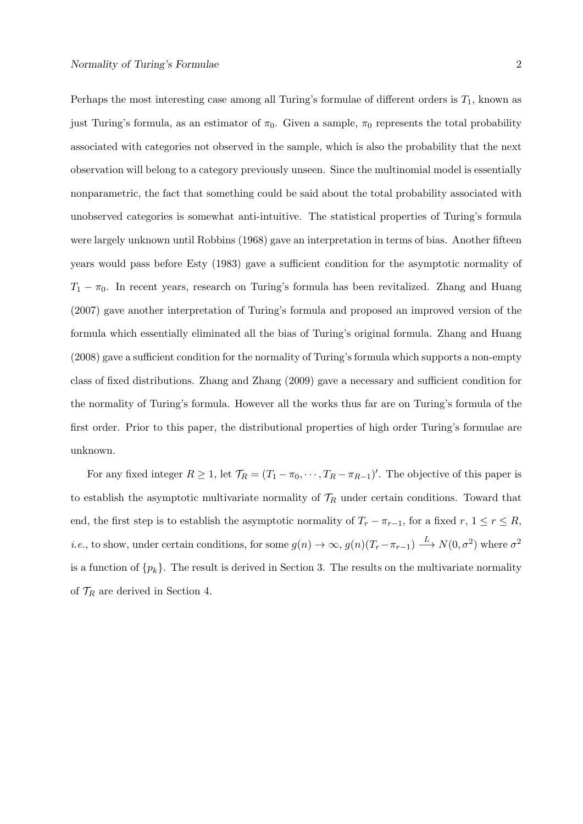Perhaps the most interesting case among all Turing's formulae of different orders is *T*1, known as just Turing's formula, as an estimator of  $\pi_0$ . Given a sample,  $\pi_0$  represents the total probability associated with categories not observed in the sample, which is also the probability that the next observation will belong to a category previously unseen. Since the multinomial model is essentially nonparametric, the fact that something could be said about the total probability associated with unobserved categories is somewhat anti-intuitive. The statistical properties of Turing's formula were largely unknown until Robbins (1968) gave an interpretation in terms of bias. Another fifteen years would pass before Esty (1983) gave a sufficient condition for the asymptotic normality of *T*<sub>1</sub> − *π*<sub>0</sub>. In recent years, research on Turing's formula has been revitalized. Zhang and Huang (2007) gave another interpretation of Turing's formula and proposed an improved version of the formula which essentially eliminated all the bias of Turing's original formula. Zhang and Huang (2008) gave a sufficient condition for the normality of Turing's formula which supports a non-empty class of fixed distributions. Zhang and Zhang (2009) gave a necessary and sufficient condition for the normality of Turing's formula. However all the works thus far are on Turing's formula of the first order. Prior to this paper, the distributional properties of high order Turing's formulae are unknown.

For any fixed integer  $R \geq 1$ , let  $\mathcal{T}_R = (T_1 - \pi_0, \dots, T_R - \pi_{R-1})'$ . The objective of this paper is to establish the asymptotic multivariate normality of  $\mathcal{T}_R$  under certain conditions. Toward that end, the first step is to establish the asymptotic normality of  $T_r - \pi_{r-1}$ , for a fixed  $r, 1 \leq r \leq R$ , *i.e.*, to show, under certain conditions, for some  $g(n) \to \infty$ ,  $g(n)(T_r - \pi_{r-1}) \xrightarrow{L} N(0, \sigma^2)$  where  $\sigma^2$ is a function of  $\{p_k\}$ . The result is derived in Section 3. The results on the multivariate normality of  $\mathcal{T}_R$  are derived in Section 4.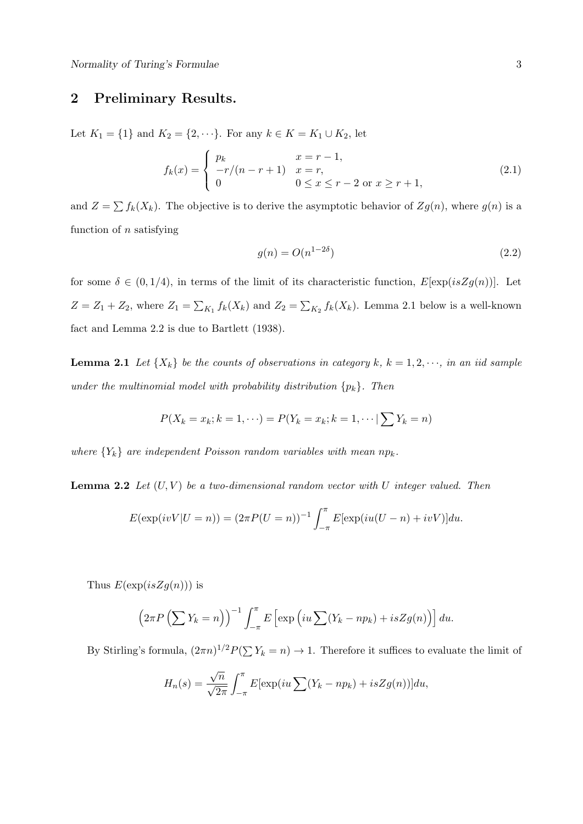# **2 Preliminary Results.**

Let *K*<sub>1</sub> = {1} and *K*<sub>2</sub> = {2, · · · }. For any *k* ∈ *K* = *K*<sub>1</sub> ∪ *K*<sub>2</sub>, let

$$
f_k(x) = \begin{cases} p_k & x = r - 1, \\ -r/(n - r + 1) & x = r, \\ 0 & 0 \le x \le r - 2 \text{ or } x \ge r + 1, \end{cases}
$$
(2.1)

and  $Z = \sum f_k(X_k)$ . The objective is to derive the asymptotic behavior of  $Zg(n)$ , where  $g(n)$  is a function of *n* satisfying

$$
g(n) = O(n^{1-2\delta})\tag{2.2}
$$

for some  $\delta \in (0, 1/4)$ , in terms of the limit of its characteristic function,  $E[\exp(isZg(n))]$ . Let  $Z = Z_1 + Z_2$ , where  $Z_1 = \sum_{K_1} f_k(X_k)$  and  $Z_2 = \sum_{K_2} f_k(X_k)$ . Lemma 2.1 below is a well-known fact and Lemma 2.2 is due to Bartlett (1938).

**Lemma 2.1** *Let*  $\{X_k\}$  *be the counts of observations in category*  $k, k = 1, 2, \dots$ *, in an iid sample under the multinomial model with probability distribution*  ${p_k}$ *. Then* 

$$
P(X_k = x_k; k = 1, \cdots) = P(Y_k = x_k; k = 1, \cdots | \sum Y_k = n)
$$

*where*  ${Y_k}$  *are independent Poisson random variables with mean*  $np_k$ *.* 

**Lemma 2.2** *Let* (*U, V* ) *be a two-dimensional random vector with U integer valued. Then*

$$
E(\exp(ivV|U = n)) = (2\pi P(U = n))^{-1} \int_{-\pi}^{\pi} E[\exp(iu(U - n) + ivV)]du.
$$

Thus  $E(\exp(isZg(n)))$  is

$$
\left(2\pi P\left(\sum Y_k = n\right)\right)^{-1} \int_{-\pi}^{\pi} E\left[\exp\left(iu\sum (Y_k - np_k) + isZg(n)\right)\right] du.
$$

By Stirling's formula,  $(2\pi n)^{1/2}P(\sum Y_k = n) \to 1$ . Therefore it suffices to evaluate the limit of

$$
H_n(s) = \frac{\sqrt{n}}{\sqrt{2\pi}} \int_{-\pi}^{\pi} E[\exp(iu \sum (Y_k - np_k) + isZg(n))]du,
$$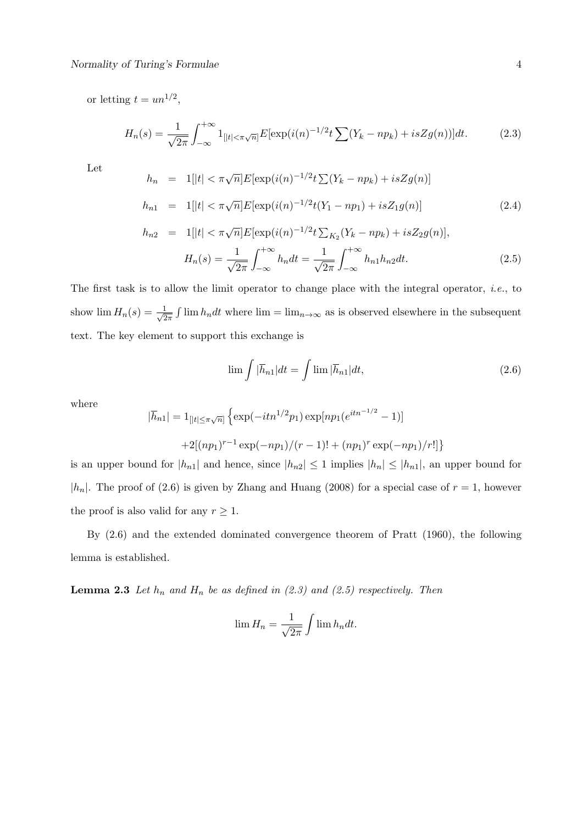or letting  $t = un^{1/2}$ ,

$$
H_n(s) = \frac{1}{\sqrt{2\pi}} \int_{-\infty}^{+\infty} 1_{[|t| < \pi\sqrt{n}]} E[\exp(i(n)^{-1/2}t \sum (Y_k - np_k) + isZg(n))] dt.
$$
 (2.3)

Let

$$
h_n = 1[|t| < \pi \sqrt{n}] E[\exp(i(n)^{-1/2}t \sum (Y_k - np_k) + isZg(n)]
$$
  
\n
$$
h_{n1} = 1[|t| < \pi \sqrt{n}] E[\exp(i(n)^{-1/2}t(Y_1 - np_1) + isZ_1g(n)]
$$
\n(2.4)

$$
h_{n2} = 1[|t| < \pi \sqrt{n}] E[\exp(i(n)^{-1/2}t \sum_{K_2} (Y_k - np_k) + isZ_2 g(n)],
$$
  

$$
H_n(s) = \frac{1}{\sqrt{2\pi}} \int_{-\infty}^{+\infty} h_n dt = \frac{1}{\sqrt{2\pi}} \int_{-\infty}^{+\infty} h_{n1} h_{n2} dt.
$$
 (2.5)

The first task is to allow the limit operator to change place with the integral operator, *i.e.*, to show  $\lim H_n(s) = \frac{1}{\sqrt{2}}$  $\frac{1}{2\pi} \int \lim h_n dt$  where  $\lim = \lim_{n \to \infty}$  as is observed elsewhere in the subsequent text. The key element to support this exchange is

$$
\lim_{h \to 0} \int |\bar{h}_{n1}| dt = \int \lim_{h \to 0} |\bar{h}_{n1}| dt,
$$
\n(2.6)

where

$$
|\overline{h}_{n1}| = 1_{[|t| \le \pi\sqrt{n}]} \left\{ \exp(-itn^{1/2}p_1) \exp[np_1(e^{itn^{-1/2}} - 1)] + 2[(np_1)^{r-1} \exp(-np_1)/(r-1)! + (np_1)^r \exp(-np_1)/r!] \right\}
$$

is an upper bound for  $|h_{n1}|$  and hence, since  $|h_{n2}| \leq 1$  implies  $|h_{n}| \leq |h_{n1}|$ , an upper bound for  $|h_n|$ . The proof of (2.6) is given by Zhang and Huang (2008) for a special case of  $r = 1$ , however the proof is also valid for any  $r \geq 1$ .

By (2.6) and the extended dominated convergence theorem of Pratt (1960), the following lemma is established.

**Lemma 2.3** *Let*  $h_n$  *and*  $H_n$  *be as defined in (2.3) and (2.5) respectively. Then* 

$$
\lim H_n = \frac{1}{\sqrt{2\pi}} \int \lim h_n dt.
$$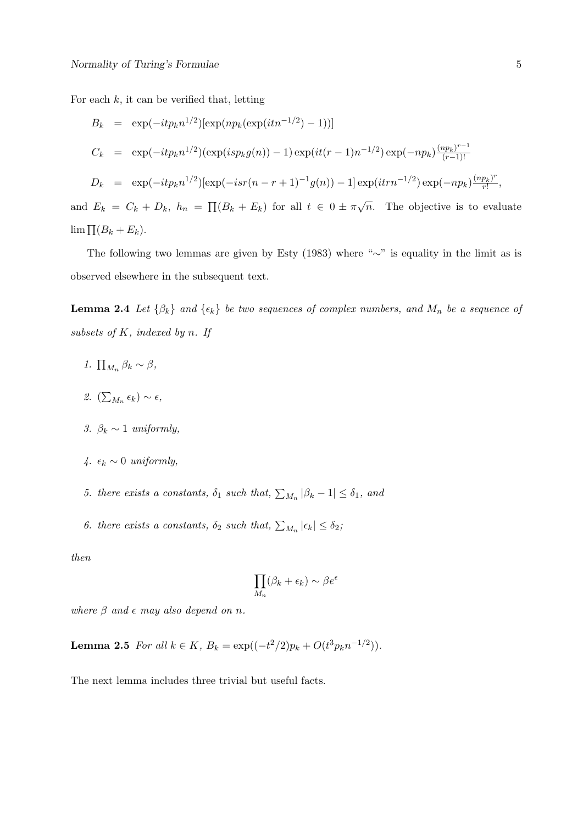For each  $k$ , it can be verified that, letting

$$
B_k = \exp(-itp_k n^{1/2})[\exp(np_k(\exp(itn^{-1/2})-1))]
$$
  
\n
$$
C_k = \exp(-itp_k n^{1/2})(\exp(isp_k g(n)) - 1)\exp(it(r-1)n^{-1/2})\exp(-np_k)\frac{(np_k)^{r-1}}{(r-1)!}
$$
  
\n
$$
D_k = \exp(-itp_k n^{1/2})[\exp(-isr(n-r+1)^{-1}g(n)) - 1]\exp(itrn^{-1/2})\exp(-np_k)\frac{(np_k)^r}{r!},
$$
  
\nand  $E_k = C_k + D_k$ ,  $h_n = \prod(B_k + E_k)$  for all  $t \in 0 \pm \pi\sqrt{n}$ . The objective is to evaluate

lim  $\prod (B_k + E_k)$ .

The following two lemmas are given by Esty (1983) where "*∼*" is equality in the limit as is observed elsewhere in the subsequent text.

**Lemma 2.4** *Let*  $\{\beta_k\}$  *and*  $\{\epsilon_k\}$  *be two sequences of complex numbers, and*  $M_n$  *be a sequence of subsets of K, indexed by n. If*

- *1.*  $\prod_{M_n} \beta_k \sim \beta$ ,
- 2.  $(\sum_{M_n} \epsilon_k) \sim \epsilon$ ,
- *3.*  $\beta_k \sim 1$  *uniformly,*
- *4.*  $\epsilon_k$  ∼ 0 *uniformly*,
- *5. there exists a constants,*  $\delta_1$  *such that,*  $\sum_{M_n} |\beta_k 1| \leq \delta_1$ *, and*
- *6. there exists a constants,*  $\delta_2$  *such that,*  $\sum_{M_n} |\epsilon_k| \leq \delta_2$ ;

*then*

$$
\prod_{M_n} (\beta_k + \epsilon_k) \sim \beta e^{\epsilon}
$$

*where*  $\beta$  *and*  $\epsilon$  *may also depend on n.* 

**Lemma 2.5** *For all*  $k \in K$ *,*  $B_k = \exp((-t^2/2)p_k + O(t^3 p_k n^{-1/2}))$ *.* 

The next lemma includes three trivial but useful facts.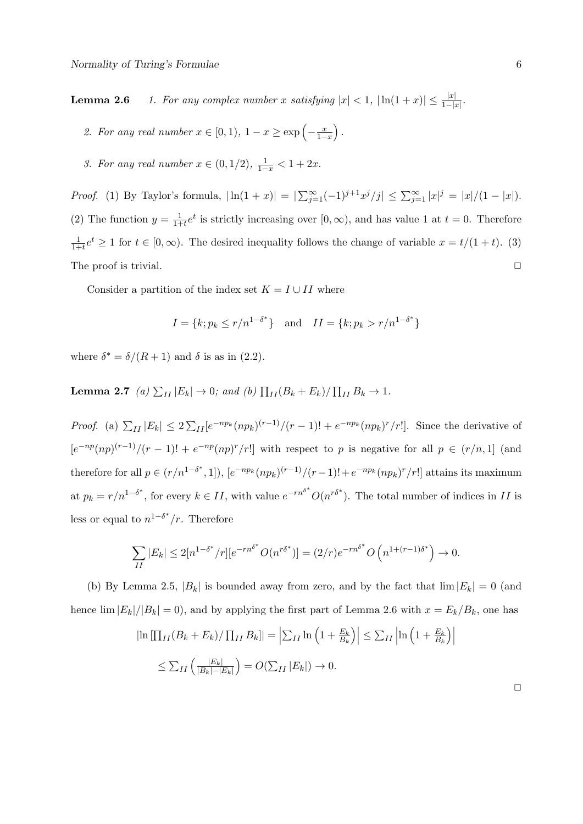**Lemma 2.6** *1. For any complex number <i>x* satisfying  $|x| < 1$ ,  $|\ln(1+x)| \le \frac{|x|}{1-|x|}$ .

- 2. For any real number  $x \in [0, 1)$ ,  $1 x \ge \exp\left(-\frac{x}{1 x}\right)$ 1*−x* ) *.*
- *3. For any real number*  $x \in (0, 1/2)$ ,  $\frac{1}{1-x} < 1 + 2x$ .

*Proof.* (1) By Taylor's formula,  $|\ln(1+x)| = |\sum_{j=1}^{\infty}(-1)^{j+1}x^j/j| \le \sum_{j=1}^{\infty}|x|^j = |x|/(1-|x|).$ (2) The function  $y = \frac{1}{1+1}$  $\frac{1}{1+t}e^t$  is strictly increasing over  $[0, \infty)$ , and has value 1 at  $t = 0$ . Therefore 1  $\frac{1}{1+t}e^t \geq 1$  for  $t \in [0,\infty)$ . The desired inequality follows the change of variable  $x = t/(1+t)$ . (3) The proof is trivial. **□** 

Consider a partition of the index set  $K = I \cup II$  where

$$
I = \{k; p_k \le r/n^{1-\delta^*}\} \text{ and } II = \{k; p_k > r/n^{1-\delta^*}\}
$$

where  $\delta^* = \delta/(R+1)$  and  $\delta$  is as in (2.2).

**Lemma 2.7** *(a)*  $\sum_{II} |E_k| \to 0$ ; and *(b)*  $\prod_{II} (B_k + E_k) / \prod_{II} B_k \to 1$ .

*Proof.* (a)  $\sum_{II} |E_k| \leq 2 \sum_{II} [e^{-np_k} (np_k)^{(r-1)} / (r-1)! + e^{-np_k} (np_k)^r / r!]$ . Since the derivative of  $\left[e^{-np}(np)^{(r-1)}/(r-1)!\right]+e^{-np}(np)^r/r!$  with respect to p is negative for all  $p \in (r/n,1]$  (and therefore for all  $p \in (r/n^{1-\delta^*}, 1]$ ,  $[e^{-np_k}(np_k)^{(r-1)}/(r-1)! + e^{-np_k}(np_k)^r/r!]$  attains its maximum at  $p_k = r/n^{1-\delta^*}$ , for every  $k \in II$ , with value  $e^{-rn^{\delta^*}}O(n^{r\delta^*})$ . The total number of indices in II is less or equal to  $n^{1-\delta^*}/r$ . Therefore

$$
\sum_{II} |E_k| \le 2[n^{1-\delta^*}/r][e^{-rn^{\delta^*}}O(n^{r\delta^*})] = (2/r)e^{-rn^{\delta^*}}O\left(n^{1+(r-1)\delta^*}\right) \to 0.
$$

(b) By Lemma 2.5,  $|B_k|$  is bounded away from zero, and by the fact that  $\lim |E_k| = 0$  (and hence  $\lim |E_k|/|B_k| = 0$ , and by applying the first part of Lemma 2.6 with  $x = E_k/B_k$ , one has

$$
\left| \ln \left[ \prod_{II} (B_k + E_k) / \prod_{II} B_k \right] \right| = \left| \sum_{II} \ln \left( 1 + \frac{E_k}{B_k} \right) \right| \le \sum_{II} \left| \ln \left( 1 + \frac{E_k}{B_k} \right) \right|
$$
  

$$
\le \sum_{II} \left( \frac{|E_k|}{|B_k| - |E_k|} \right) = O(\sum_{II} |E_k|) \to 0.
$$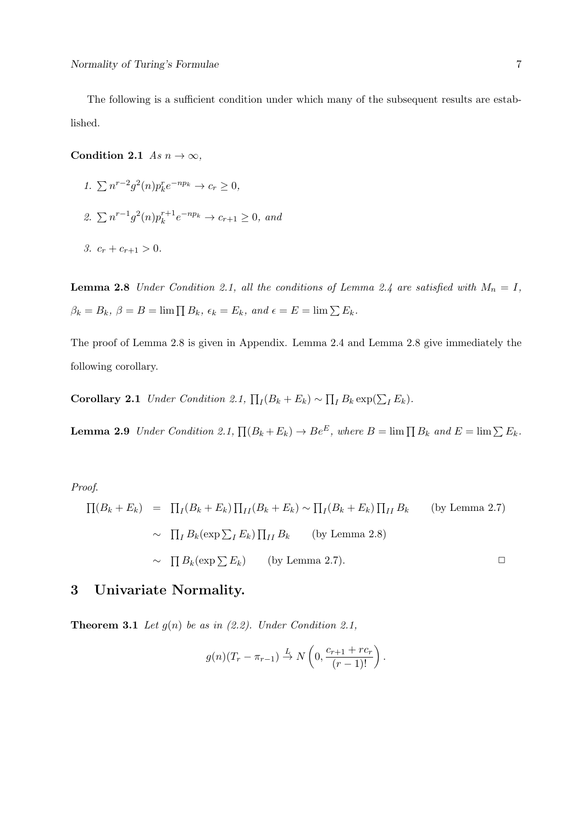The following is a sufficient condition under which many of the subsequent results are established.

**Condition 2.1** *As*  $n \to \infty$ *,* 

- *1.*  $\sum n^{r-2}g^2(n)p_k^r e^{-np_k} \to c_r \ge 0,$
- 2.  $\sum n^{r-1}g^2(n)p_k^{r+1}e^{-np_k} \to c_{r+1} \ge 0$ , and
- *3.*  $c_r + c_{r+1} > 0$ .

**Lemma 2.8** *Under Condition 2.1, all the conditions of Lemma 2.4 are satisfied with*  $M_n = I$ ,  $\beta_k = B_k$ ,  $\beta = B = \lim \prod B_k$ ,  $\epsilon_k = E_k$ , and  $\epsilon = E = \lim \sum E_k$ .

The proof of Lemma 2.8 is given in Appendix. Lemma 2.4 and Lemma 2.8 give immediately the following corollary.

**Corollary 2.1** *Under Condition 2.1,*  $\prod_I (B_k + E_k) \sim \prod_I B_k \exp(\sum_I E_k)$ .

**Lemma 2.9** *Under Condition 2.1,*  $\prod (B_k + E_k) \rightarrow Be^E$ , where  $B = \lim \prod B_k$  and  $E = \lim \sum E_k$ .

*Proof*.

$$
\Pi(B_k + E_k) = \Pi_I(B_k + E_k) \Pi_{II}(B_k + E_k) \sim \Pi_I(B_k + E_k) \Pi_{II} B_k \quad \text{(by Lemma 2.7)}
$$
  
\n
$$
\sim \Pi_I B_k(\exp \sum_I E_k) \Pi_{II} B_k \quad \text{(by Lemma 2.8)}
$$
  
\n
$$
\sim \Pi B_k(\exp \sum E_k) \quad \text{(by Lemma 2.7)}.
$$

# **3 Univariate Normality.**

**Theorem 3.1** *Let*  $g(n)$  *be as in (2.2). Under Condition 2.1,* 

$$
g(n)(T_r - \pi_{r-1}) \stackrel{L}{\rightarrow} N\left(0, \frac{c_{r+1} + rc_r}{(r-1)!}\right).
$$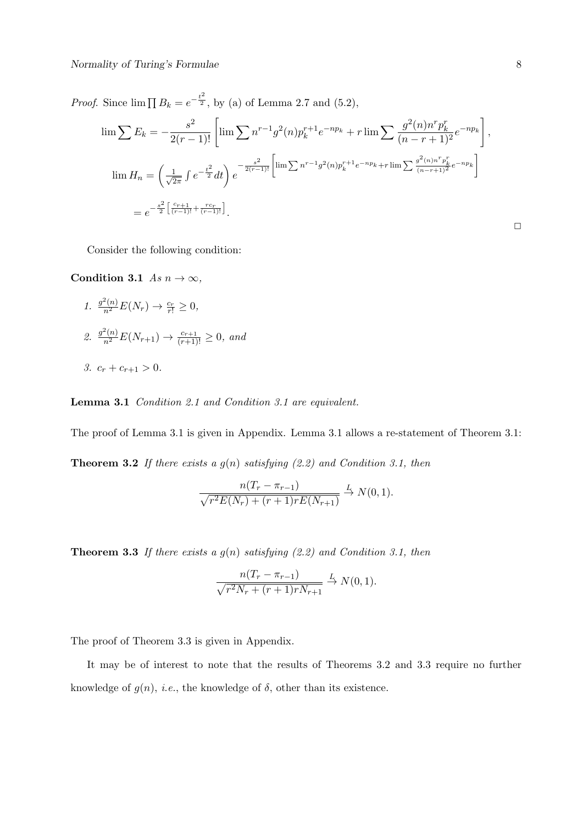*Proof.* Since  $\lim \prod B_k = e^{-\frac{t^2}{2}}$ , by (a) of Lemma 2.7 and (5.2),

$$
\lim \sum E_k = -\frac{s^2}{2(r-1)!} \left[ \lim \sum n^{r-1} g^2(n) p_k^{r+1} e^{-np_k} + r \lim \sum \frac{g^2(n) n^r p_k^r}{(n-r+1)^2} e^{-np_k} \right],
$$
  
\n
$$
\lim H_n = \left( \frac{1}{\sqrt{2\pi}} \int e^{-\frac{t^2}{2}} dt \right) e^{-\frac{s^2}{2(r-1)!}} \left[ \lim \sum n^{r-1} g^2(n) p_k^{r+1} e^{-np_k} + r \lim \sum \frac{g^2(n) n^r p_k^r}{(n-r+1)^2} e^{-np_k} \right]
$$
  
\n
$$
= e^{-\frac{s^2}{2} \left[ \frac{c_{r+1}}{(r-1)!} + \frac{rc_r}{(r-1)!} \right]}.
$$

Consider the following condition:

**Condition 3.1** *As*  $n \to \infty$ *,* 

 $1. \frac{g^2(n)}{n^2}E(N_r) \to \frac{c_r}{r!} \geq 0,$ 2.  $\frac{g^2(n)}{n^2}E(N_{r+1}) \to \frac{c_{r+1}}{(r+1)!} \geq 0$ , and *3.*  $c_r + c_{r+1} > 0$ .

**Lemma 3.1** *Condition 2.1 and Condition 3.1 are equivalent.*

The proof of Lemma 3.1 is given in Appendix. Lemma 3.1 allows a re-statement of Theorem 3.1: **Theorem 3.2** *If there exists a g*(*n*) *satisfying (2.2) and Condition 3.1, then*

$$
\frac{n(T_r - \pi_{r-1})}{\sqrt{r^2 E(N_r) + (r+1)r E(N_{r+1})}} \xrightarrow{L} N(0, 1).
$$

**Theorem 3.3** *If there exists a g*(*n*) *satisfying (2.2) and Condition 3.1, then*

$$
\frac{n(T_r - \pi_{r-1})}{\sqrt{r^2 N_r + (r+1)r N_{r+1}}} \xrightarrow{L} N(0, 1).
$$

The proof of Theorem 3.3 is given in Appendix.

It may be of interest to note that the results of Theorems 3.2 and 3.3 require no further knowledge of  $g(n)$ , *i.e.*, the knowledge of  $\delta$ , other than its existence.

 $\Box$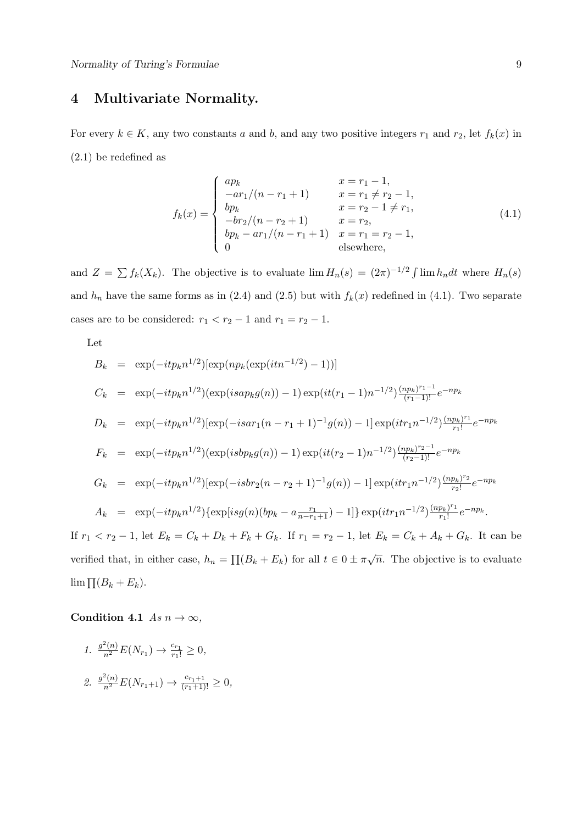# **4 Multivariate Normality.**

For every  $k \in K$ , any two constants *a* and *b*, and any two positive integers  $r_1$  and  $r_2$ , let  $f_k(x)$  in (2.1) be redefined as

$$
f_k(x) = \begin{cases} ap_k & x = r_1 - 1, \\ -ar_1/(n - r_1 + 1) & x = r_1 \neq r_2 - 1, \\ bp_k & x = r_2 - 1 \neq r_1, \\ -br_2/(n - r_2 + 1) & x = r_2, \\ bp_k - ar_1/(n - r_1 + 1) & x = r_1 = r_2 - 1, \\ 0 & \text{elsewhere,} \end{cases}
$$
(4.1)

and  $Z = \sum f_k(X_k)$ . The objective is to evaluate  $\lim H_n(s) = (2\pi)^{-1/2} \int \lim h_n dt$  where  $H_n(s)$ and  $h_n$  have the same forms as in (2.4) and (2.5) but with  $f_k(x)$  redefined in (4.1). Two separate cases are to be considered:  $r_1 < r_2 - 1$  and  $r_1 = r_2 - 1$ .

Let

$$
B_k = \exp(-itp_k n^{1/2})[\exp(np_k(\exp(itn^{-1/2})-1))]
$$
  
\n
$$
C_k = \exp(-itp_k n^{1/2})(\exp(isap_kg(n))-1)\exp(it(r_1-1)n^{-1/2})\frac{(np_k)^{r_1-1}}{(r_1-1)!}e^{-np_k}
$$
  
\n
$$
D_k = \exp(-itp_k n^{1/2})[\exp(-isar_1(n-r_1+1)^{-1}g(n))-1]\exp(itr_1n^{-1/2})\frac{(np_k)^{r_1}}{r_1!}e^{-np_k}
$$
  
\n
$$
F_k = \exp(-itp_k n^{1/2})(\exp(isbp_kg(n))-1)\exp(it(r_2-1)n^{-1/2})\frac{(np_k)^{r_2-1}}{(r_2-1)!}e^{-np_k}
$$
  
\n
$$
G_k = \exp(-itp_k n^{1/2})[\exp(-isbr_2(n-r_2+1)^{-1}g(n))-1]\exp(itr_1n^{-1/2})\frac{(np_k)^{r_2}}{r_2!}e^{-np_k}
$$
  
\n
$$
A_k = \exp(-itp_k n^{1/2})\{\exp[isg(n)(bp_k - a\frac{r_1}{n-r_1+1})-1]\}\exp(itr_1n^{-1/2})\frac{(np_k)^{r_1}}{r_1!}e^{-np_k}.
$$

If  $r_1 < r_2 - 1$ , let  $E_k = C_k + D_k + F_k + G_k$ . If  $r_1 = r_2 - 1$ , let  $E_k = C_k + A_k + G_k$ . It can be verified that, in either case,  $h_n = \prod (B_k + E_k)$  for all  $t \in 0 \pm \pi \sqrt{n}$ . The objective is to evaluate lim  $\prod (B_k + E_k)$ .

**Condition 4.1** *As*  $n \to \infty$ *,* 

1. 
$$
\frac{g^2(n)}{n^2} E(N_{r_1}) \to \frac{c_{r_1}}{r_1!} \ge 0,
$$
  
2. 
$$
\frac{g^2(n)}{n^2} E(N_{r_1+1}) \to \frac{c_{r_1+1}}{(r_1+1)!} \ge 0,
$$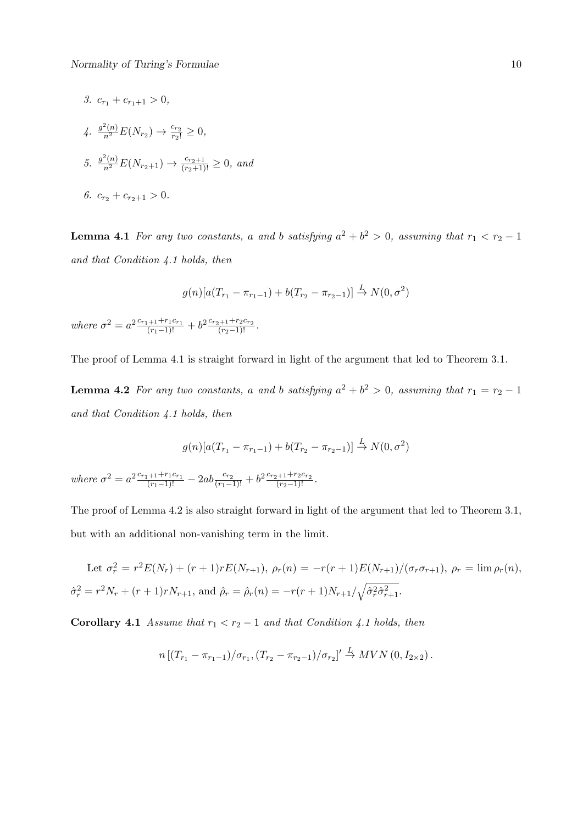*3.*  $c_{r_1} + c_{r_1+1} > 0$ ,  $4. \frac{g^2(n)}{n^2}E(N_{r_2}) \to \frac{c_{r_2}}{r_2!} \geq 0,$ *5.*  $\frac{g^2(n)}{n^2}E(N_{r_2+1}) \to \frac{c_{r_2+1}}{(r_2+1)!} \geq 0$ , and *6.*  $c_{r_2} + c_{r_2+1} > 0$ .

**Lemma 4.1** *For any two constants, a and b satisfying*  $a^2 + b^2 > 0$ *, assuming that*  $r_1 < r_2 - 1$ *and that Condition 4.1 holds, then*

$$
g(n)[a(T_{r_1} - \pi_{r_1-1}) + b(T_{r_2} - \pi_{r_2-1})] \stackrel{L}{\to} N(0, \sigma^2)
$$

*where*  $\sigma^2 = a^2 \frac{c_{r_1+1} + r_1 c_{r_1}}{(r_1-1)!} + b^2 \frac{c_{r_2+1} + r_2 c_{r_2}}{(r_2-1)!}$ .

The proof of Lemma 4.1 is straight forward in light of the argument that led to Theorem 3.1.

**Lemma 4.2** *For any two constants, a and b satisfying*  $a^2 + b^2 > 0$ *, assuming that*  $r_1 = r_2 - 1$ *and that Condition 4.1 holds, then*

$$
g(n)[a(T_{r_1} - \pi_{r_1-1}) + b(T_{r_2} - \pi_{r_2-1})] \stackrel{L}{\to} N(0, \sigma^2)
$$

where  $\sigma^2 = a^2 \frac{c_{r_1+1} + r_1 c_{r_1}}{(r_1-1)!} - 2ab \frac{c_{r_2}}{(r_1-1)!} + b^2 \frac{c_{r_2+1} + r_2 c_{r_2}}{(r_2-1)!}$ .

The proof of Lemma 4.2 is also straight forward in light of the argument that led to Theorem 3.1, but with an additional non-vanishing term in the limit.

Let  $\sigma_r^2 = r^2 E(N_r) + (r+1)r E(N_{r+1}), \rho_r(n) = -r(r+1)E(N_{r+1})/(\sigma_r \sigma_{r+1}), \rho_r = \lim \rho_r(n),$  $\hat{\sigma}_r^2 = r^2 N_r + (r+1)rN_{r+1}$ , and  $\hat{\rho}_r = \hat{\rho}_r(n) = -r(r+1)N_{r+1}/\sqrt{\hat{\sigma}_r^2 \hat{\sigma}_{r+1}^2}$ .

**Corollary 4.1** *Assume that*  $r_1 < r_2 - 1$  *and that Condition 4.1 holds, then* 

$$
n\left[\left(T_{r_1}-\pi_{r_1-1}\right)/\sigma_{r_1},\left(T_{r_2}-\pi_{r_2-1}\right)/\sigma_{r_2}\right]'\stackrel{L}{\to} MVN\left(0,I_{2\times 2}\right).
$$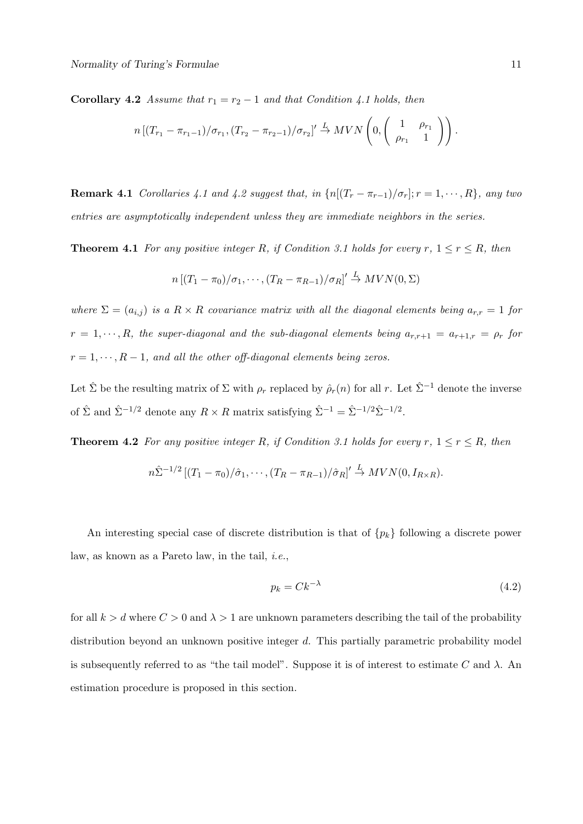**Corollary 4.2** *Assume that*  $r_1 = r_2 - 1$  *and that Condition 4.1 holds, then* 

$$
n\left[\left(T_{r_1}-\pi_{r_1-1}\right)/\sigma_{r_1},\left(T_{r_2}-\pi_{r_2-1}\right)/\sigma_{r_2}\right]'\stackrel{L}{\to} MVN\left(0,\left(\begin{array}{cc}1 & \rho_{r_1} \\ \rho_{r_1} & 1\end{array}\right)\right).
$$

**Remark 4.1** *Corollaries 4.1 and 4.2 suggest that, in*  $\{n[(T_r - \pi_{r-1})/\sigma_r]; r = 1, \dots, R\}$ *, any two entries are asymptotically independent unless they are immediate neighbors in the series.*

**Theorem 4.1** *For any positive integer R, if Condition 3.1 holds for every*  $r, 1 \le r \le R$ *, then* 

$$
n\left[\left(T_1-\pi_0\right)/\sigma_1,\cdots,\left(T_R-\pi_{R-1}\right)/\sigma_R\right]'\stackrel{L}{\to} MVN(0,\Sigma)
$$

*where*  $\Sigma = (a_{i,j})$  *is a*  $R \times R$  *covariance matrix with all the diagonal elements being*  $a_{r,r} = 1$  *for*  $r = 1, \dots, R$ *, the super-diagonal and the sub-diagonal elements being*  $a_{r,r+1} = a_{r+1,r} = \rho_r$  *for*  $r = 1, \dots, R - 1$ , and all the other off-diagonal elements being zeros.

Let  $\hat{\Sigma}$  be the resulting matrix of  $\Sigma$  with  $\rho_r$  replaced by  $\hat{\rho}_r(n)$  for all *r*. Let  $\hat{\Sigma}^{-1}$  denote the inverse of  $\hat{\Sigma}$  and  $\hat{\Sigma}^{-1/2}$  denote any  $R \times R$  matrix satisfying  $\hat{\Sigma}^{-1} = \hat{\Sigma}^{-1/2} \hat{\Sigma}^{-1/2}$ .

**Theorem 4.2** *For any positive integer R, if Condition 3.1 holds for every*  $r, 1 \le r \le R$ *, then* 

$$
n\hat{\Sigma}^{-1/2}\left[\left(T_1-\pi_0\right)/\hat{\sigma}_1,\cdots,\left(T_R-\pi_{R-1}\right)/\hat{\sigma}_R\right]'\stackrel{L}{\to} MVN(0,I_{R\times R}).
$$

An interesting special case of discrete distribution is that of *{pk}* following a discrete power law, as known as a Pareto law, in the tail, *i.e.*,

$$
p_k = Ck^{-\lambda} \tag{4.2}
$$

for all  $k > d$  where  $C > 0$  and  $\lambda > 1$  are unknown parameters describing the tail of the probability distribution beyond an unknown positive integer *d*. This partially parametric probability model is subsequently referred to as "the tail model". Suppose it is of interest to estimate  $C$  and  $\lambda$ . An estimation procedure is proposed in this section.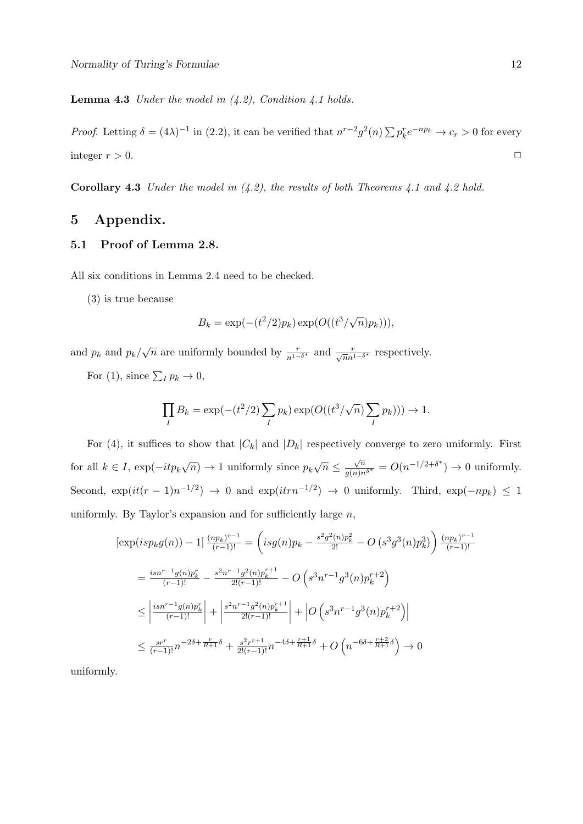**Lemma 4.3** *Under the model in (4.2), Condition 4.1 holds.*

*Proof.* Letting  $\delta = (4\lambda)^{-1}$  in (2.2), it can be verified that  $n^{r-2}g^2(n)\sum p_k^r e^{-np_k} \to c_r > 0$  for every integer  $r > 0$ .

**Corollary 4.3** *Under the model in (4.2), the results of both Theorems 4.1 and 4.2 hold.*

## **5 Appendix.**

### **5.1 Proof of Lemma 2.8.**

All six conditions in Lemma 2.4 need to be checked.

(3) is true because

$$
B_k = \exp(-(t^2/2)p_k)\exp(O((t^3/\sqrt{n})p_k))),
$$

and  $p_k$  and  $p_k/\sqrt{n}$  are uniformly bounded by  $\frac{r}{n^{1-\delta^*}}$  and  $\frac{r}{\sqrt{n}n^{1-\delta^*}}$  respectively.

For (1), since  $\sum_{I} p_{k} \to 0$ ,

$$
\prod_{I} B_k = \exp(-(t^2/2) \sum_{I} p_k) \exp(O((t^3/\sqrt{n}) \sum_{I} p_k))) \to 1.
$$

For (4), it suffices to show that  $|C_k|$  and  $|D_k|$  respectively converge to zero uniformly. First for all  $k \in I$ ,  $\exp(-it p_k \sqrt{n}) \to 1$  uniformly since  $p_k \sqrt{n} \leq \frac{\sqrt{n}}{g(n)n^{\delta^*}} = O(n^{-1/2+\delta^*}) \to 0$  uniformly. Second,  $\exp(it(r-1)n^{-1/2}) \rightarrow 0$  and  $\exp(itrn^{-1/2}) \rightarrow 0$  uniformly. Third,  $\exp(-np_k) \leq 1$ uniformly. By Taylor's expansion and for sufficiently large *n*,

$$
\begin{split} &\left[\exp(isp_kg(n))-1\right]\frac{(np_k)^{r-1}}{(r-1)!}=\left(isg(n)p_k-\frac{s^2g^2(n)p_k^2}{2!}-O\left(s^3g^3(n)p_k^3\right)\right)\frac{(np_k)^{r-1}}{(r-1)!}\\ &=\frac{isnr^{-1}g(n)p_k^r}{(r-1)!}-\frac{s^2n^{r-1}g^2(n)p_k^{r+1}}{2!(r-1)!}-O\left(s^3n^{r-1}g^3(n)p_k^{r+2}\right)\\ &\leq \left|\frac{isnr^{-1}g(n)p_k^r}{(r-1)!}\right|+\left|\frac{s^2n^{r-1}g^2(n)p_k^{r+1}}{2!(r-1)!}\right|+\left|O\left(s^3n^{r-1}g^3(n)p_k^{r+2}\right)\right|\\ &\leq \frac{sr^r}{(r-1)!}n^{-2\delta+\frac{r}{R+1}\delta}+\frac{s^2r^{r+1}}{2!(r-1)!}n^{-4\delta+\frac{r+1}{R+1}\delta}+O\left(n^{-6\delta+\frac{r+2}{R+1}\delta}\right)\to 0 \end{split}
$$

uniformly.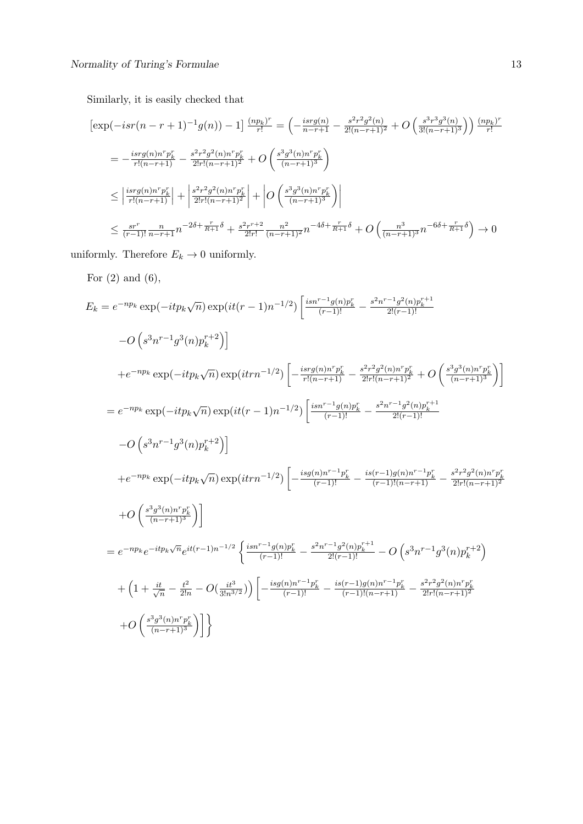Similarly, it is easily checked that

$$
\begin{split}\n\left[\exp(-isr(n-r+1)^{-1}g(n)) - 1\right] \frac{(np_k)^r}{r!} &= \left(-\frac{isr g(n)}{n-r+1} - \frac{s^2 r^2 g^2(n)}{2!(n-r+1)^2} + O\left(\frac{s^3 r^3 g^3(n)}{3!(n-r+1)^3}\right)\right) \frac{(np_k)^r}{r!} \\
&= -\frac{isr g(n)n^r p_k^r}{r!(n-r+1)} - \frac{s^2 r^2 g^2(n)n^r p_k^r}{2!r!(n-r+1)^2} + O\left(\frac{s^3 g^3(n)n^r p_k^r}{(n-r+1)^3}\right) \\
&\leq \left|\frac{isr g(n)n^r p_k^r}{r!(n-r+1)}\right| + \left|\frac{s^2 r^2 g^2(n)n^r p_k^r}{2!r!(n-r+1)^2}\right| + O\left(\frac{s^3 g^3(n)n^r p_k^r}{(n-r+1)^3}\right)\n\end{split}
$$
\n
$$
\leq \frac{sr^r}{(r-1)!} \frac{n}{n-r+1} n^{-2\delta + \frac{r}{R+1}\delta} + \frac{s^2 r^{r+2}}{2!r!} \frac{n^2}{(n-r+1)^2} n^{-4\delta + \frac{r}{R+1}\delta} + O\left(\frac{n^3}{(n-r+1)^3} n^{-6\delta + \frac{r}{R+1}\delta}\right) \to 0
$$

uniformly. Therefore  $E_k\to 0$  uniformly.

For  $(2)$  and  $(6)$ ,

$$
E_k = e^{-np_k} \exp(-it p_k \sqrt{n}) \exp(it(r-1)n^{-1/2}) \left[ \frac{i s n^{r-1} g(n) p_k^r}{(r-1)!} - \frac{s^2 n^{r-1} g^2(n) p_k^{r+1}}{2!(r-1)!} \right]
$$
  
\n
$$
-O\left(s^3 n^{r-1} g^3(n) p_k^{r+2}\right) \Big]
$$
  
\n
$$
+e^{-np_k} \exp(-it p_k \sqrt{n}) \exp(itr n^{-1/2}) \left[ -\frac{i s r g(n) n^r p_k^r}{r!(n-r+1)} - \frac{s^2 r^2 g^2(n) n^r p_k^r}{2! r!(n-r+1)^2} + O\left(\frac{s^3 g^3(n) n^r p_k^r}{(n-r+1)^3}\right) \right]
$$
  
\n
$$
= e^{-np_k} \exp(-it p_k \sqrt{n}) \exp(it(r-1)n^{-1/2}) \left[ \frac{i s n^{r-1} g(n) p_k^r}{(r-1)!} - \frac{s^2 n^{r-1} g^2(n) p_k^{r+1}}{2!(r-1)!} \right]
$$
  
\n
$$
-O\left(s^3 n^{r-1} g^3(n) p_k^{r+2}\right) \Big]
$$
  
\n
$$
+e^{-np_k} \exp(-it p_k \sqrt{n}) \exp(itr n^{-1/2}) \left[ -\frac{i s g(n) n^{r-1} p_k^r}{(r-1)!} - \frac{i s (r-1) g(n) n^{r-1} p_k^r}{(r-1)! (n-r+1)} - \frac{s^2 r^2 g^2(n) n^r p_k^r}{2! r!(n-r+1)^2} \right]
$$
  
\n
$$
+O\left(\frac{s^3 g^3(n) n^r p_k^r}{(n-r+1)^3}\right) \Big]
$$
  
\n
$$
= e^{-np_k} e^{-it p_k \sqrt{n}} e^{it(r-1)n^{-1/2}} \left\{ \frac{i s n^{r-1} g(n) p_k^r}{(r-1)!} - O\left(s^3 n^{r-1} g^3(n) p_k^{r+2}\right) \right\}
$$
  
\n
$$
+ \left(1 + \frac{it}{\sqrt{n}} - \frac{t^2}{2!n} - O\left(\frac{it^3}{3!n^{3/2}}\right) \right) \left[ -\frac{i s g(n
$$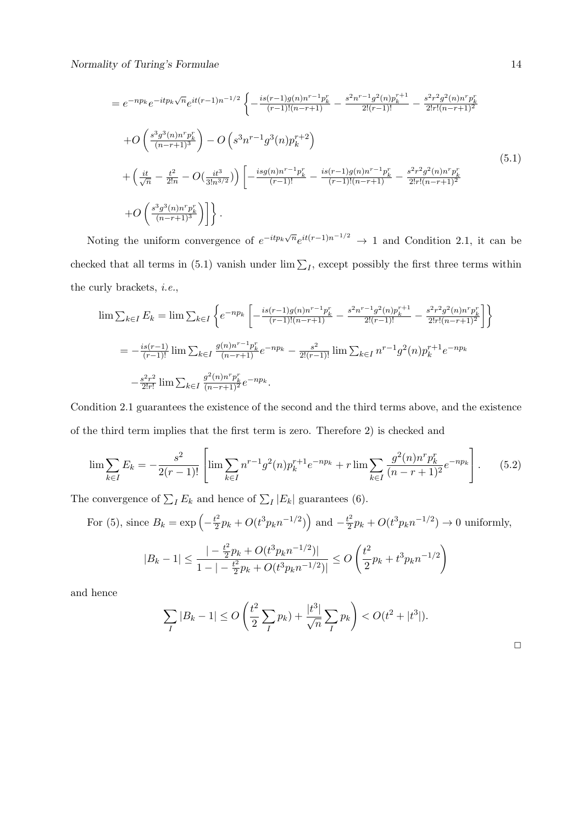$$
= e^{-np_k} e^{-itp_k \sqrt{n}} e^{it(r-1)n^{-1/2}} \left\{ -\frac{is(r-1)g(n)n^{r-1}p_k^r}{(r-1)!(n-r+1)} - \frac{s^2n^{r-1}g^2(n)p_k^{r+1}}{2!(r-1)!} - \frac{s^2r^2g^2(n)n^r p_k^r}{2!(n-r+1)^2} \right\}
$$
  
+ $O\left(\frac{s^3g^3(n)n^r p_k^r}{(n-r+1)^3}\right) - O\left(s^3n^{r-1}g^3(n)p_k^{r+2}\right)$   
+ $\left(\frac{it}{\sqrt{n}} - \frac{t^2}{2!n} - O\left(\frac{it^3}{3!n^{3/2}}\right)\right) \left[ -\frac{isg(n)n^{r-1}p_k^r}{(r-1)!} - \frac{is(r-1)g(n)n^{r-1}p_k^r}{(r-1)!(n-r+1)} - \frac{s^2r^2g^2(n)n^r p_k^r}{2!r!(n-r+1)^2} \right]$   
+ $O\left(\frac{s^3g^3(n)n^r p_k^r}{(n-r+1)^3}\right) \right\}.$  (5.1)

Noting the uniform convergence of  $e^{-itp_k\sqrt{n}}e^{it(r-1)n^{-1/2}} \to 1$  and Condition 2.1, it can be checked that all terms in (5.1) vanish under  $\lim \sum_I$ , except possibly the first three terms within the curly brackets, *i.e.*,

$$
\lim \sum_{k \in I} E_k = \lim \sum_{k \in I} \left\{ e^{-np_k} \left[ -\frac{is(r-1)g(n)n^{r-1}p_k^r}{(r-1)!(n-r+1)} - \frac{s^2n^{r-1}g^2(n)p_k^{r+1}}{2!(r-1)!} - \frac{s^2r^2g^2(n)n^r p_k^r}{2!(n-r+1)^2} \right] \right\}
$$
\n
$$
= -\frac{is(r-1)}{(r-1)!} \lim \sum_{k \in I} \frac{g(n)n^{r-1}p_k^r}{(n-r+1)^2} e^{-np_k} - \frac{s^2}{2!(r-1)!} \lim \sum_{k \in I} n^{r-1}g^2(n)p_k^{r+1}e^{-np_k}
$$
\n
$$
- \frac{s^2r^2}{2!r!} \lim \sum_{k \in I} \frac{g^2(n)n^r p_k^r}{(n-r+1)^2} e^{-np_k}.
$$

Condition 2.1 guarantees the existence of the second and the third terms above, and the existence of the third term implies that the first term is zero. Therefore 2) is checked and

$$
\lim \sum_{k \in I} E_k = -\frac{s^2}{2(r-1)!} \left[ \lim \sum_{k \in I} n^{r-1} g^2(n) p_k^{r+1} e^{-np_k} + r \lim \sum_{k \in I} \frac{g^2(n) n^r p_k^r}{(n-r+1)^2} e^{-np_k} \right].
$$
 (5.2)

The convergence of  $\sum_{I} E_{k}$  and hence of  $\sum_{I} |E_{k}|$  guarantees (6).

For (5), since 
$$
B_k = \exp\left(-\frac{t^2}{2}p_k + O(t^3p_kn^{-1/2})\right)
$$
 and  $-\frac{t^2}{2}p_k + O(t^3p_kn^{-1/2}) \to 0$  uniformly,  

$$
|-\frac{t^2}{2}p_k + O(t^3p_kn^{-1/2})| \qquad (t^2
$$

$$
|B_k - 1| \le \frac{| - \frac{t^2}{2}p_k + O(t^3 p_k n^{-1/2})|}{1 - | - \frac{t^2}{2}p_k + O(t^3 p_k n^{-1/2})|} \le O\left(\frac{t^2}{2}p_k + t^3 p_k n^{-1/2}\right)
$$

and hence

$$
\sum_{I} |B_k - 1| \le O\left(\frac{t^2}{2} \sum_{I} p_k\right) + \frac{|t^3|}{\sqrt{n}} \sum_{I} p_k\right) < O(t^2 + |t^3|).
$$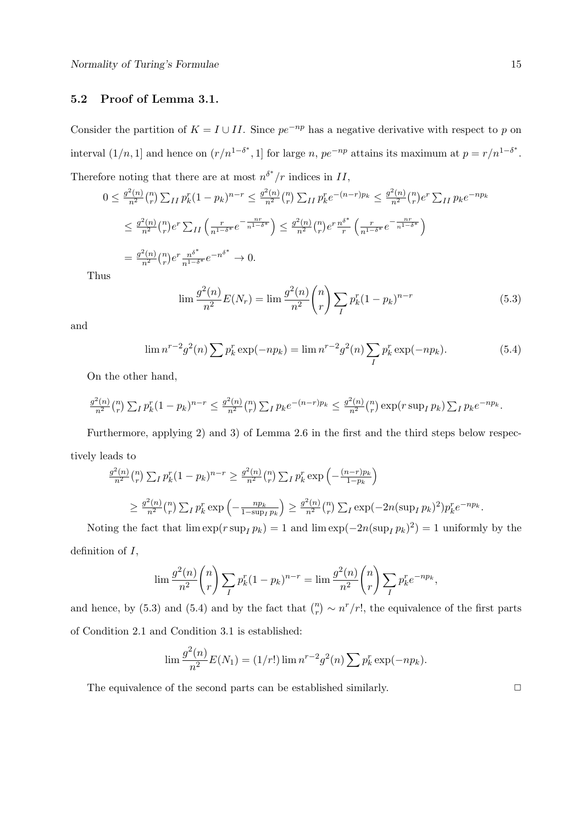#### **5.2 Proof of Lemma 3.1.**

Consider the partition of  $K = I \cup II$ . Since  $pe^{-np}$  has a negative derivative with respect to *p* on interval  $(1/n, 1]$  and hence on  $(r/n^{1-\delta^*}, 1]$  for large *n*,  $pe^{-np}$  attains its maximum at  $p = r/n^{1-\delta^*}$ . Therefore noting that there are at most  $n^{\delta^*}/r$  indices in  $II$ ,

$$
0 \le \frac{g^2(n)}{n^2} {n \choose r} \sum_{II} p_k^r (1 - p_k)^{n-r} \le \frac{g^2(n)}{n^2} {n \choose r} \sum_{II} p_k^r e^{-(n-r)p_k} \le \frac{g^2(n)}{n^2} {n \choose r} e^r \sum_{II} p_k e^{-np_k}
$$
  

$$
\le \frac{g^2(n)}{n^2} {n \choose r} e^r \sum_{II} \left( \frac{r}{n^{1-\delta^*}} e^{-\frac{nr}{n^{1-\delta^*}}} \right) \le \frac{g^2(n)}{n^2} {n \choose r} e^r \frac{n^{\delta^*}}{r} \left( \frac{r}{n^{1-\delta^*}} e^{-\frac{nr}{n^{1-\delta^*}}} \right)
$$
  

$$
= \frac{g^2(n)}{n^2} {n \choose r} e^r \frac{n^{\delta^*}}{n^{1-\delta^*}} e^{-n^{\delta^*}} \to 0.
$$

Thu

$$
\lim \frac{g^2(n)}{n^2} E(N_r) = \lim \frac{g^2(n)}{n^2} {n \choose r} \sum_I p_k^r (1 - p_k)^{n-r}
$$
\n(5.3)

and

$$
\lim_{n \to \infty} n^{r-2} g^2(n) \sum p_k^r \exp(-np_k) = \lim_{n \to \infty} n^{r-2} g^2(n) \sum_{I} p_k^r \exp(-np_k).
$$
 (5.4)

On the other hand,

$$
\frac{g^2(n)}{n^2} {n \choose r} \sum_I p_k^r (1-p_k)^{n-r} \leq \frac{g^2(n)}{n^2} {n \choose r} \sum_I p_k e^{-(n-r)p_k} \leq \frac{g^2(n)}{n^2} {n \choose r} \exp(r \sup_I p_k) \sum_I p_k e^{-np_k}.
$$

Furthermore, applying 2) and 3) of Lemma 2.6 in the first and the third steps below respectively leads to

$$
\frac{g^2(n)}{n^2} {n \choose r} \sum_I p_K^r (1 - p_k)^{n-r} \ge \frac{g^2(n)}{n^2} {n \choose r} \sum_I p_K^r \exp\left(-\frac{(n-r)p_k}{1-p_k}\right)
$$
  

$$
\ge \frac{g^2(n)}{n^2} {n \choose r} \sum_I p_K^r \exp\left(-\frac{np_k}{1-\sup_I p_k}\right) \ge \frac{g^2(n)}{n^2} {n \choose r} \sum_I \exp(-2n(\sup_I p_k)^2) p_K^r e^{-np_k}.
$$

Noting the fact that  $\lim \exp(r \sup_I p_k) = 1$  and  $\lim \exp(-2n(\sup_I p_k)^2) = 1$  uniformly by the definition of *I*,

$$
\lim \frac{g^{2}(n)}{n^{2}} {n \choose r} \sum_{I} p_{k}^{r} (1-p_{k})^{n-r} = \lim \frac{g^{2}(n)}{n^{2}} {n \choose r} \sum_{I} p_{k}^{r} e^{-np_{k}},
$$

and hence, by (5.3) and (5.4) and by the fact that  $\binom{n}{r} \sim n^r/r!$ , the equivalence of the first parts of Condition 2.1 and Condition 3.1 is established:

$$
\lim \frac{g^{2}(n)}{n^{2}} E(N_{1}) = (1/r!) \lim n^{r-2} g^{2}(n) \sum p_{k}^{r} \exp(-np_{k}).
$$

The equivalence of the second parts can be established similarly.  $\Box$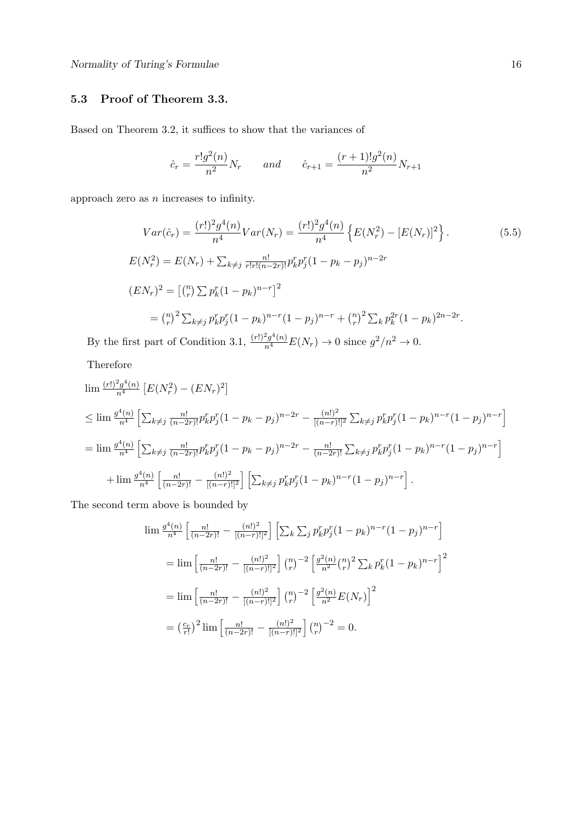## **5.3 Proof of Theorem 3.3.**

Based on Theorem 3.2, it suffices to show that the variances of

$$
\hat{c}_r = \frac{r!g^2(n)}{n^2}N_r
$$
 and  $\hat{c}_{r+1} = \frac{(r+1)!g^2(n)}{n^2}N_{r+1}$ 

approach zero as *n* increases to infinity.

$$
Var(\hat{c}_r) = \frac{(r!)^2 g^4(n)}{n^4} Var(N_r) = \frac{(r!)^2 g^4(n)}{n^4} \left\{ E(N_r^2) - [E(N_r)]^2 \right\}.
$$
\n
$$
E(N_r^2) = E(N_r) + \sum_{k \neq j} \frac{n!}{r! r! (n-2r)!} p_k^r p_j^r (1 - p_k - p_j)^{n-2r}
$$
\n
$$
(EN_r)^2 = \left[ \binom{n}{r} \sum p_k^r (1 - p_k)^{n-r} \right]^2
$$
\n
$$
= \binom{n}{r}^2 \sum_{k \neq j} p_k^r p_j^r (1 - p_k)^{n-r} (1 - p_j)^{n-r} + \binom{n}{r}^2 \sum_k p_k^{2r} (1 - p_k)^{2n-2r}.
$$
\n
$$
(2!)^2 \cdot 4(n) = 0 \quad \text{and} \quad (3!)^2 \cdot 10^n.
$$

By the first part of Condition 3.1,  $\frac{(r!)^2 g^4(n)}{n^4} E(N_r) \to 0$  since  $g^2/n^2 \to 0$ .

Therefore

$$
\lim_{n} \frac{(r!)^2 g^4(n)}{n^4} \left[ E(N_r^2) - (EN_r)^2 \right]
$$
\n
$$
\leq \lim_{n} \frac{g^4(n)}{n^4} \left[ \sum_{k \neq j} \frac{n!}{(n-2r)!} p_k^r p_j^r (1 - p_k - p_j)^{n-2r} - \frac{(n!)^2}{[(n-r)!]^2} \sum_{k \neq j} p_k^r p_j^r (1 - p_k)^{n-r} (1 - p_j)^{n-r} \right]
$$
\n
$$
= \lim_{n} \frac{g^4(n)}{n^4} \left[ \sum_{k \neq j} \frac{n!}{(n-2r)!} p_k^r p_j^r (1 - p_k - p_j)^{n-2r} - \frac{n!}{(n-2r)!} \sum_{k \neq j} p_k^r p_j^r (1 - p_k)^{n-r} (1 - p_j)^{n-r} \right]
$$
\n
$$
+ \lim_{n} \frac{g^4(n)}{n^4} \left[ \frac{n!}{(n-2r)!} - \frac{(n!)^2}{[(n-r)!]^2} \right] \left[ \sum_{k \neq j} p_k^r p_j^r (1 - p_k)^{n-r} (1 - p_j)^{n-r} \right].
$$

The second term above is bounded by

$$
\lim \frac{g^4(n)}{n^4} \left[ \frac{n!}{(n-2r)!} - \frac{(n!)^2}{[(n-r)!]^2} \right] \left[ \sum_k \sum_j p_k^r p_j^r (1-p_k)^{n-r} (1-p_j)^{n-r} \right]
$$
  
\n
$$
= \lim \left[ \frac{n!}{(n-2r)!} - \frac{(n!)^2}{[(n-r)!]^2} \right] \binom{n}{r}^{-2} \left[ \frac{g^2(n)}{n^2} \binom{n}{r}^2 \sum_k p_k^r (1-p_k)^{n-r} \right]^2
$$
  
\n
$$
= \lim \left[ \frac{n!}{(n-2r)!} - \frac{(n!)^2}{[(n-r)!]^2} \right] \binom{n}{r}^{-2} \left[ \frac{g^2(n)}{n^2} E(N_r) \right]^2
$$
  
\n
$$
= \left( \frac{c_r}{r!} \right)^2 \lim \left[ \frac{n!}{(n-2r)!} - \frac{(n!)^2}{[(n-r)!]^2} \right] \binom{n}{r}^{-2} = 0.
$$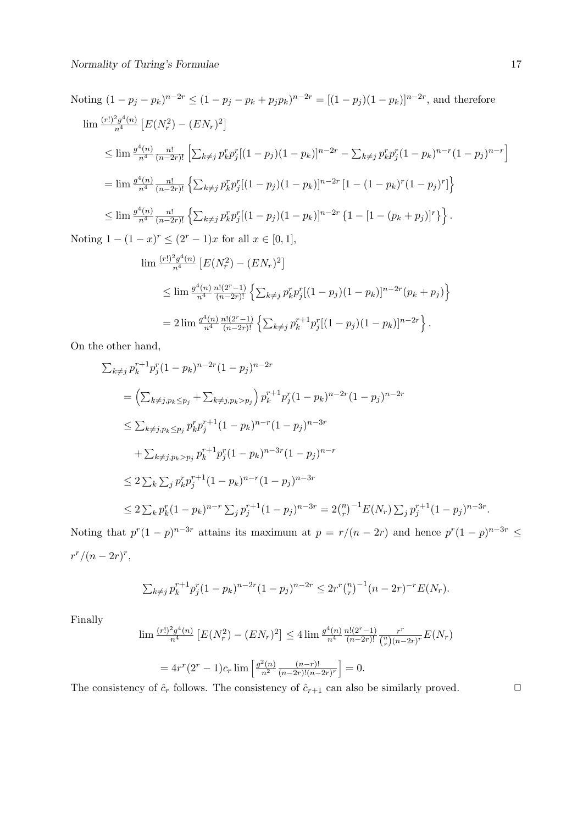Noting 
$$
(1 - p_j - p_k)^{n-2r} \le (1 - p_j - p_k + p_j p_k)^{n-2r} = [(1 - p_j)(1 - p_k)]^{n-2r}
$$
, and therefore  
\n
$$
\lim \frac{(r!)^2 g^4(n)}{n^4} [E(N_r^2) - (EN_r)^2]
$$
\n
$$
\le \lim \frac{g^4(n)}{n^4} \frac{n!}{(n-2r)!} \left[ \sum_{k \neq j} p_k^r p_j^r [(1 - p_j)(1 - p_k)]^{n-2r} - \sum_{k \neq j} p_k^r p_j^r (1 - p_k)^{n-r} (1 - p_j)^{n-r} \right]
$$
\n
$$
= \lim \frac{g^4(n)}{n^4} \frac{n!}{(n-2r)!} \left\{ \sum_{k \neq j} p_k^r p_j^r [(1 - p_j)(1 - p_k)]^{n-2r} [1 - (1 - p_k)^r (1 - p_j)^r] \right\}
$$
\n
$$
\le \lim \frac{g^4(n)}{n^4} \frac{n!}{(n-2r)!} \left\{ \sum_{k \neq j} p_k^r p_j^r [(1 - p_j)(1 - p_k)]^{n-2r} \left\{ 1 - [1 - (p_k + p_j)]^r \right\} \right\}.
$$
\nNoting  $1 - (1 - x)^r \le (2^r - 1)x$  for all  $x \in [0, 1]$ ,  
\n
$$
\lim \frac{(r!)^2 g^4(n)}{n^4} [E(N_r^2) - (EN_r)^2]
$$
\n
$$
\le \lim \frac{g^4(n)}{n^4} \frac{n!(2^r-1)}{(n-2r)!} \left\{ \sum_{k \neq j} p_k^r p_j^r [(1 - p_j)(1 - p_k)]^{n-2r} (p_k + p_j) \right\}
$$
\n
$$
= 2 \lim \frac{g^4(n)}{n^4} \frac{n!(2^r-1)}{(n-2r)!} \left\{ \sum_{k \neq j} p_k^r p_j^r [(1 - p_j)(1 - p_k)]^{n-2r} \right\}.
$$

On the other hand,

$$
\sum_{k\neq j} p_k^{r+1} p_j^r (1 - p_k)^{n-2r} (1 - p_j)^{n-2r}
$$
  
=  $\left( \sum_{k\neq j, p_k \leq p_j} + \sum_{k\neq j, p_k > p_j} \right) p_k^{r+1} p_j^r (1 - p_k)^{n-2r} (1 - p_j)^{n-2r}$   
 $\leq \sum_{k\neq j, p_k \leq p_j} p_k^r p_j^{r+1} (1 - p_k)^{n-r} (1 - p_j)^{n-3r}$   
 $+ \sum_{k\neq j, p_k > p_j} p_k^{r+1} p_j^r (1 - p_k)^{n-3r} (1 - p_j)^{n-r}$   
 $\leq 2 \sum_k \sum_j p_k^r p_j^{r+1} (1 - p_k)^{n-r} (1 - p_j)^{n-3r}$   
 $\leq 2 \sum_k p_k^r (1 - p_k)^{n-r} \sum_j p_j^{r+1} (1 - p_j)^{n-3r} = 2 {n \choose r}^{-1} E(N_r) \sum_j p_j^{r+1} (1 - p_j)^{n-3r}.$ 

Noting that  $p^{r}(1-p)^{n-3r}$  attains its maximum at  $p = r/(n-2r)$  and hence  $p^{r}(1-p)^{n-3r} \le$  $r^r/(n-2r)^r$ 

$$
\sum_{k \neq j} p_k^{r+1} p_j^r (1 - p_k)^{n-2r} (1 - p_j)^{n-2r} \leq 2r^r \binom{n}{r}^{-1} (n - 2r)^{-r} E(N_r).
$$

Finally

$$
\lim_{n \to \infty} \frac{(r!)^2 g^4(n)}{n^4} \left[ E(N_r^2) - (EN_r)^2 \right] \le 4 \lim_{n \to \infty} \frac{g^4(n)}{n^4} \frac{n!(2^r-1)}{(n-2r)!} \frac{r^r}{\binom{n}{r}(n-2r)^r} E(N_r)
$$

$$
= 4r^r (2^r - 1)c_r \lim_{n \to \infty} \left[ \frac{g^2(n)}{n^2} \frac{(n-r)!}{(n-2r)!(n-2r)^r} \right] = 0.
$$

The consistency of  $\hat{c}_r$  follows. The consistency of  $\hat{c}_{r+1}$  can also be similarly proved.  $\Box$